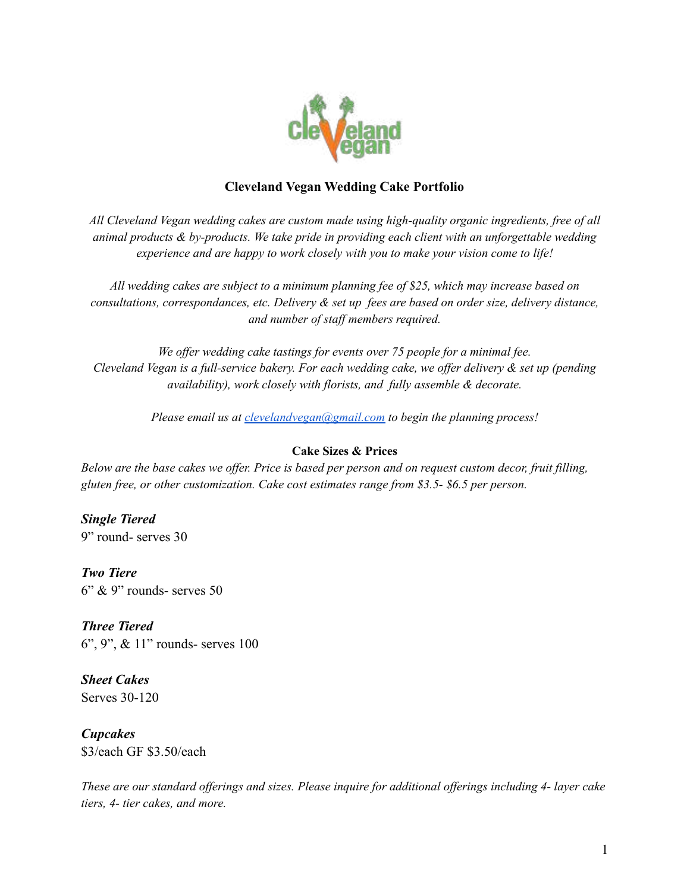

### **Cleveland Vegan Wedding Cake Portfolio**

*All Cleveland Vegan wedding cakes are custom made using high-quality organic ingredients, free of all animal products & by-products. We take pride in providing each client with an unforgettable wedding experience and are happy to work closely with you to make your vision come to life!*

*All wedding cakes are subject to a minimum planning fee of \$25, which may increase based on consultations, correspondances, etc. Delivery & set up fees are based on order size, delivery distance, and number of staf members required.*

*We of er wedding cake tastings for events over 75 people for a minimal fee.* Cleveland Vegan is a full-service bakery. For each wedding cake, we offer delivery & set up (pending *availability), work closely with florists, and fully assemble & decorate.*

*Please email us at [clevelandvegan@gmail.com](mailto:clevelandvegan@gmail.com) to begin the planning process!*

#### **Cake Sizes & Prices**

Below are the base cakes we offer. Price is based per person and on request custom decor, fruit filling, *gluten free, or other customization. Cake cost estimates range from \$3.5- \$6.5 per person.*

*Single Tiered*

9" round- serves 30

*Two Tiere*  $6"$  & 9" rounds- serves 50

*Three Tiered* 6", 9", & 11" rounds- serves 100

*Sheet Cakes* Serves 30-120

*Cupcakes* \$3/each GF \$3.50/each

These are our standard offerings and sizes. Please inquire for additional offerings including 4- layer cake *tiers, 4- tier cakes, and more.*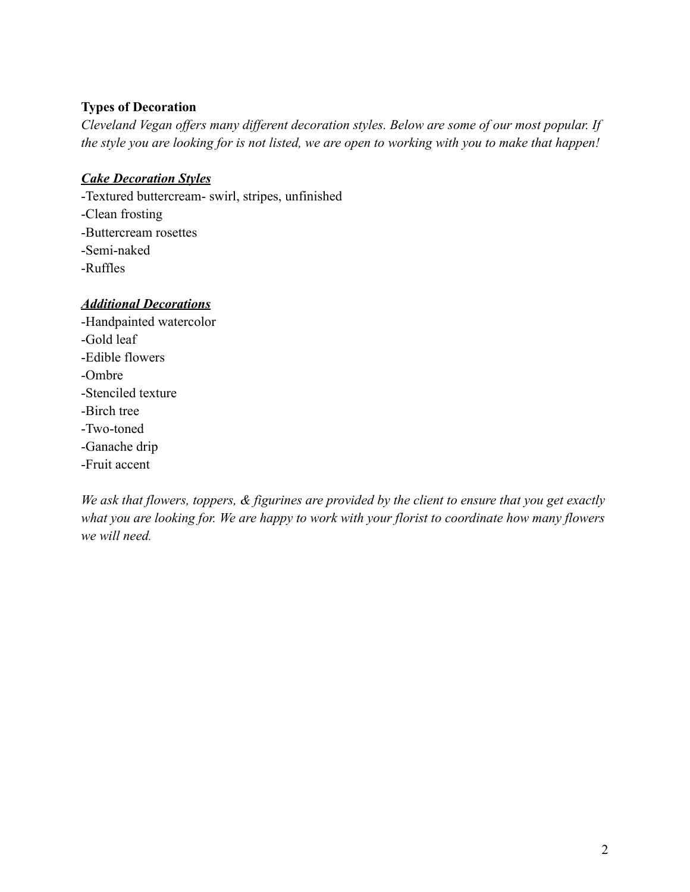### **Types of Decoration**

*Cleveland Vegan offers many different decoration styles. Below are some of our most popular. If the style you are looking for is not listed, we are open to working with you to make that happen!*

# *Cake Decoration Styles*

-Textured buttercream- swirl, stripes, unfinished -Clean frosting -Buttercream rosettes -Semi-naked -Ruffles

## *Additional Decorations*

-Handpainted watercolor -Gold leaf -Edible flowers -Ombre -Stenciled texture -Birch tree -Two-toned -Ganache drip -Fruit accent

*We ask that flowers, toppers, & figurines are provided by the client to ensure that you get exactly what you are looking for. We are happy to work with your florist to coordinate how many flowers we will need.*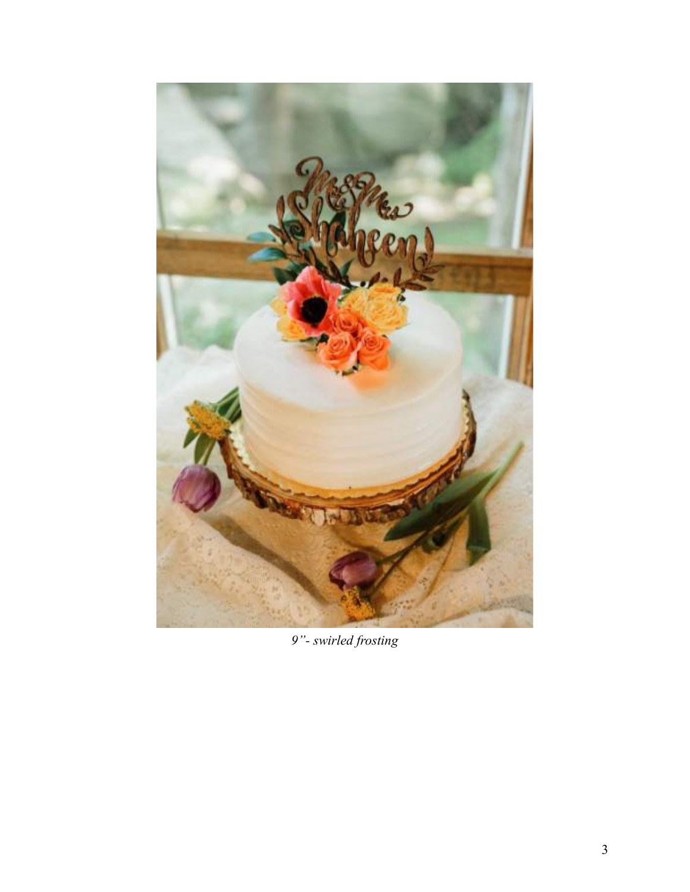

*9"- swirled frosting*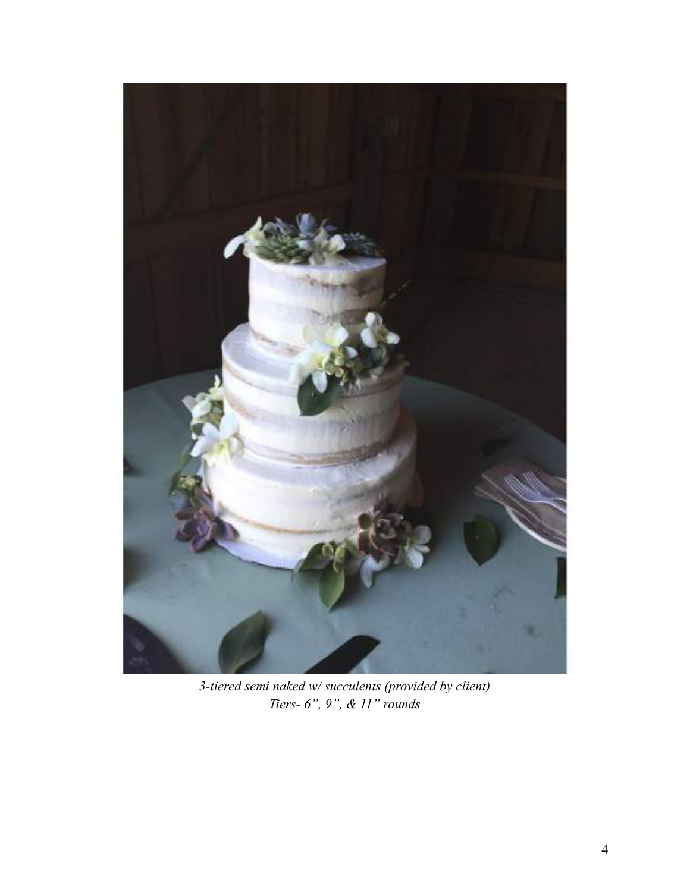

*3-tiered semi naked w/ succulents (provided by client) Tiers- 6", 9", & 11" rounds*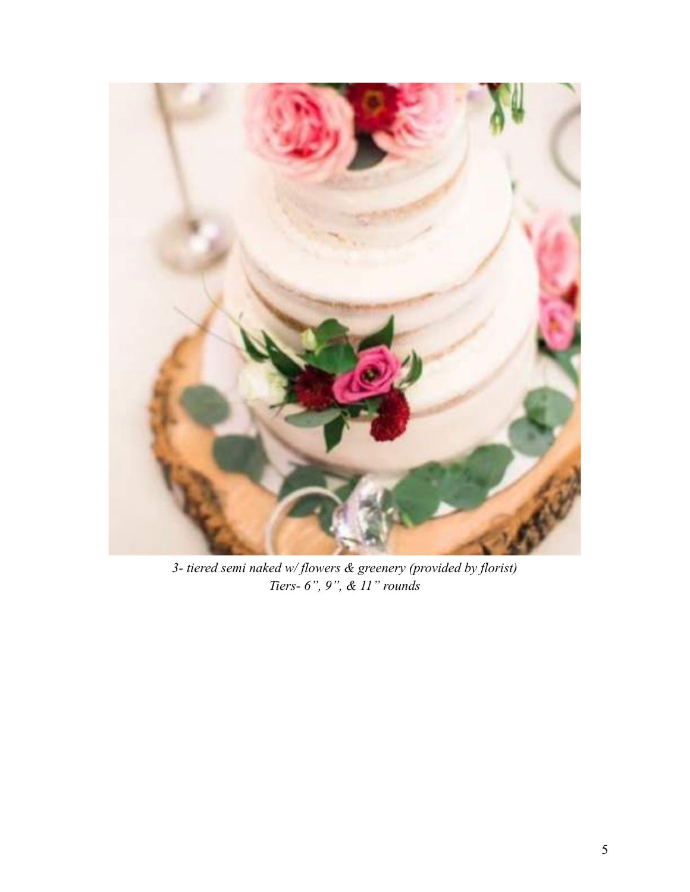

*3- tiered semi naked w/ flowers & greenery (provided by florist) Tiers- 6", 9", & 11" rounds*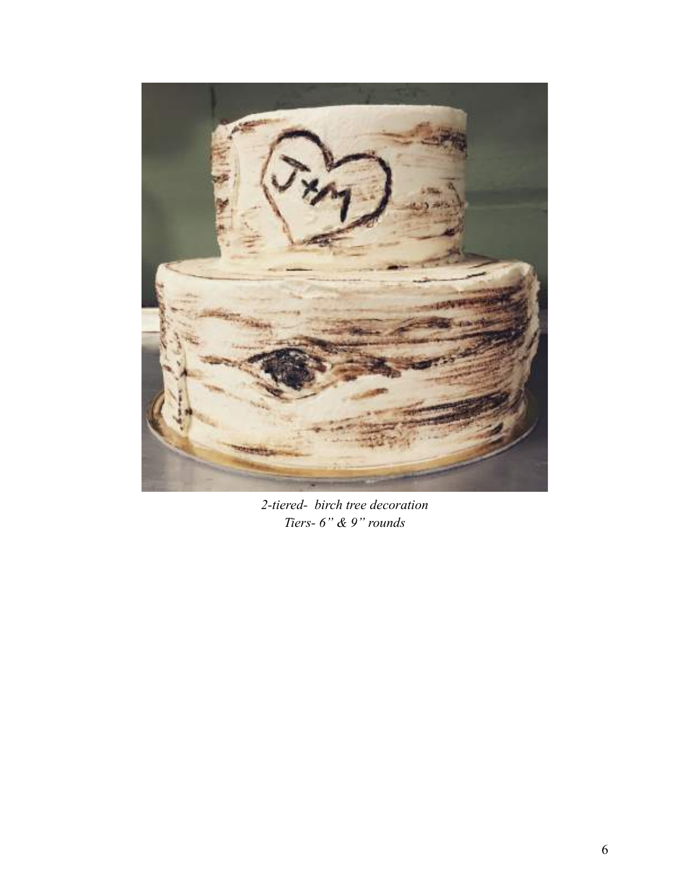

*2-tiered- birch tree decoration Tiers- 6" & 9" rounds*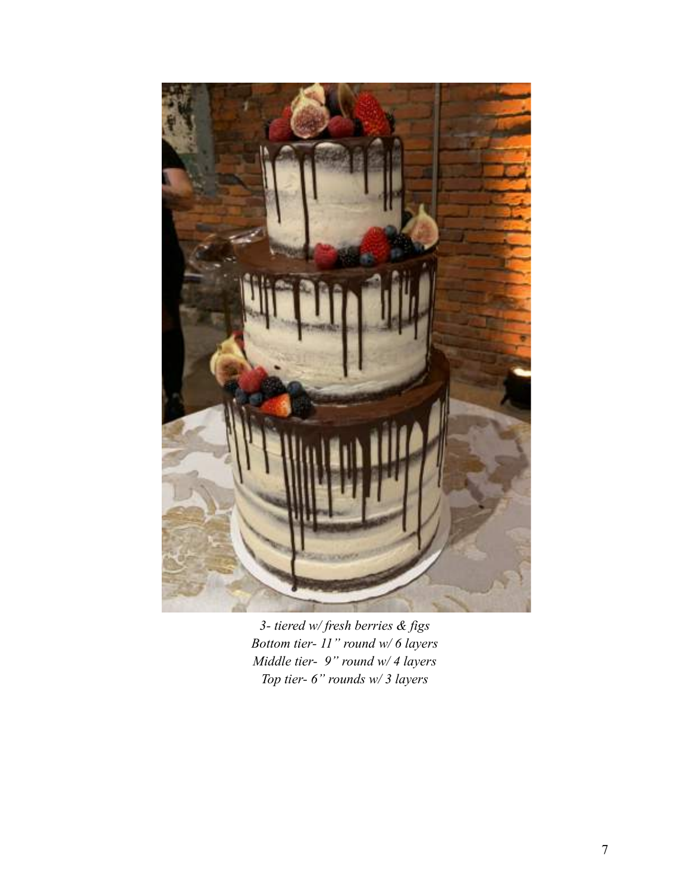

*3- tiered w/ fresh berries & figs Bottom tier- 11" round w/ 6 layers Middle tier- 9" round w/ 4 layers Top tier- 6" rounds w/ 3 layers*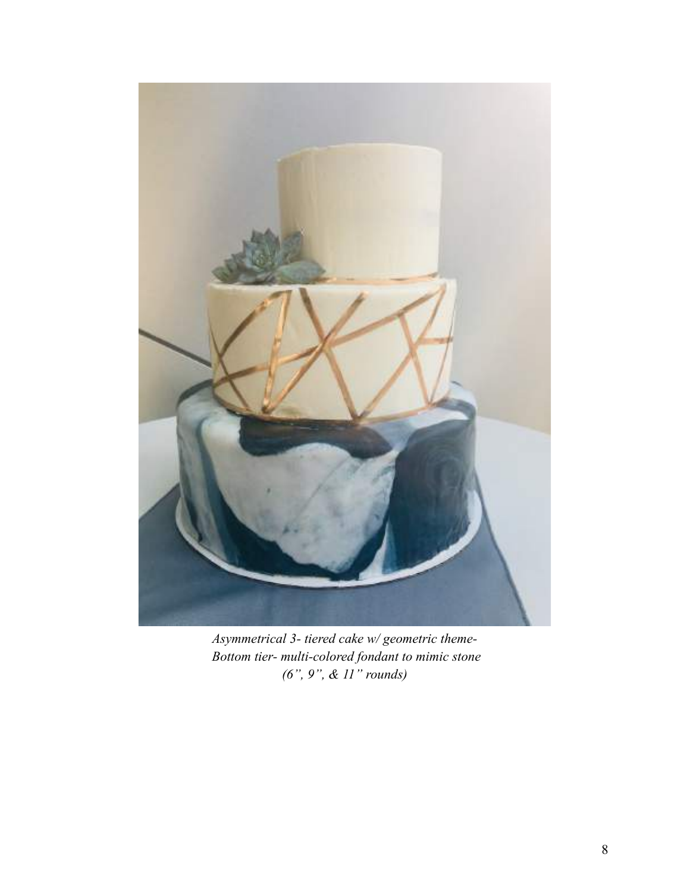

*Asymmetrical 3- tiered cake w/ geometric theme-Bottom tier- multi-colored fondant to mimic stone (6", 9", & 11" rounds)*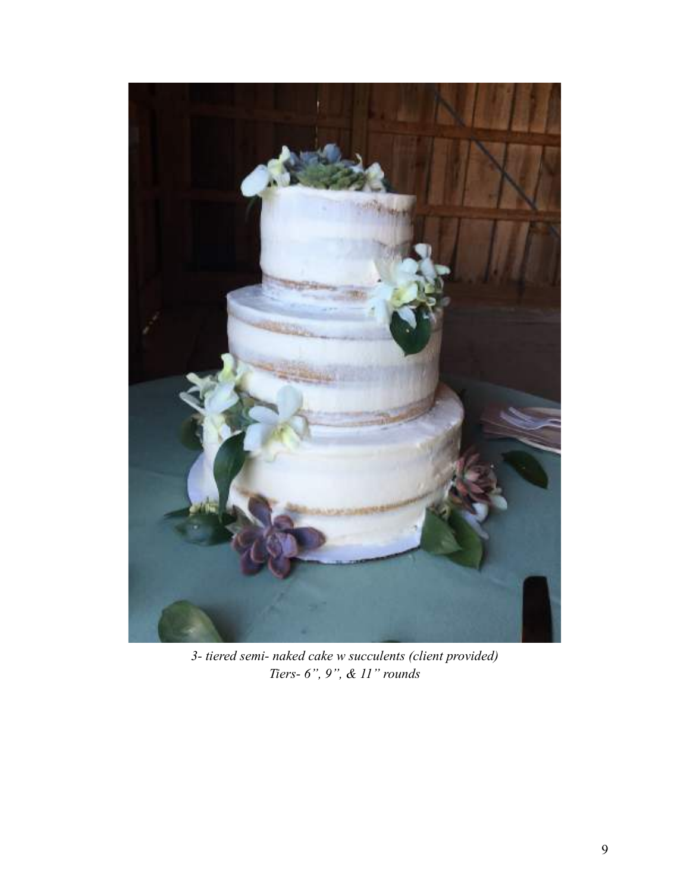

*3- tiered semi- naked cake w succulents (client provided) Tiers- 6", 9", & 11" rounds*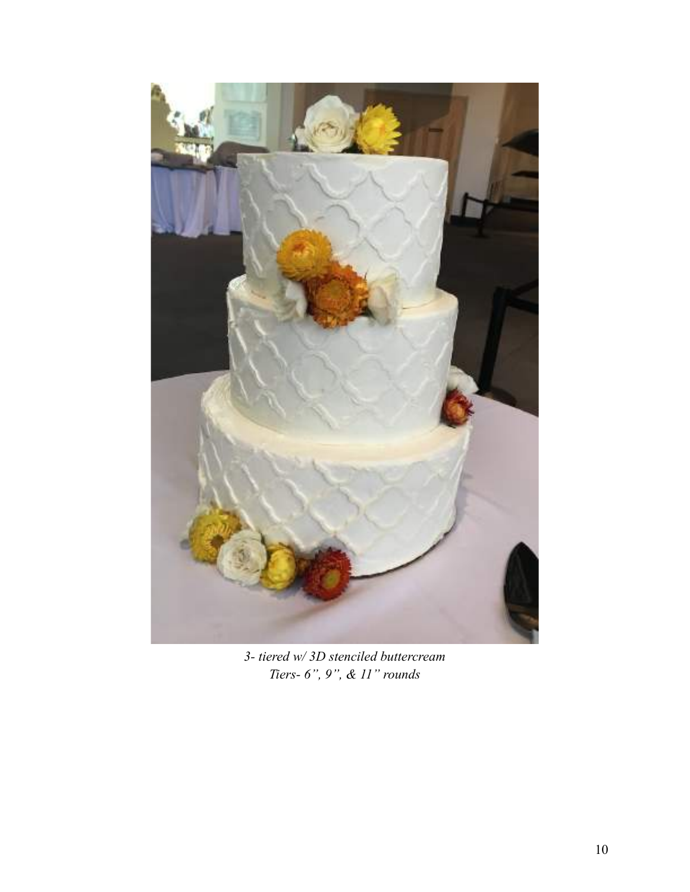

*3- tiered w/ 3D stenciled buttercream Tiers- 6", 9", & 11" rounds*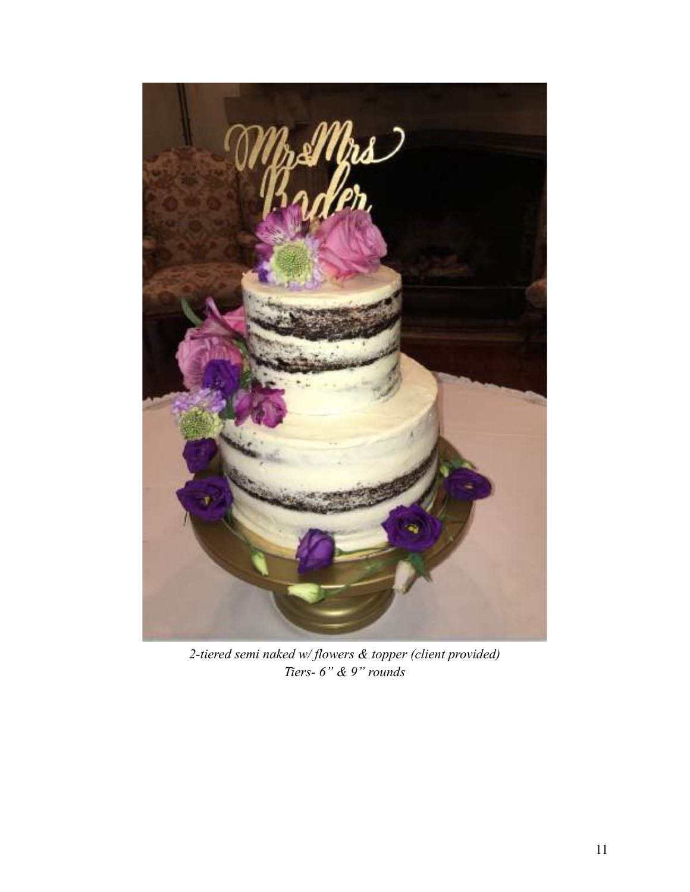

*2-tiered semi naked w/ flowers & topper (client provided) Tiers- 6" & 9" rounds*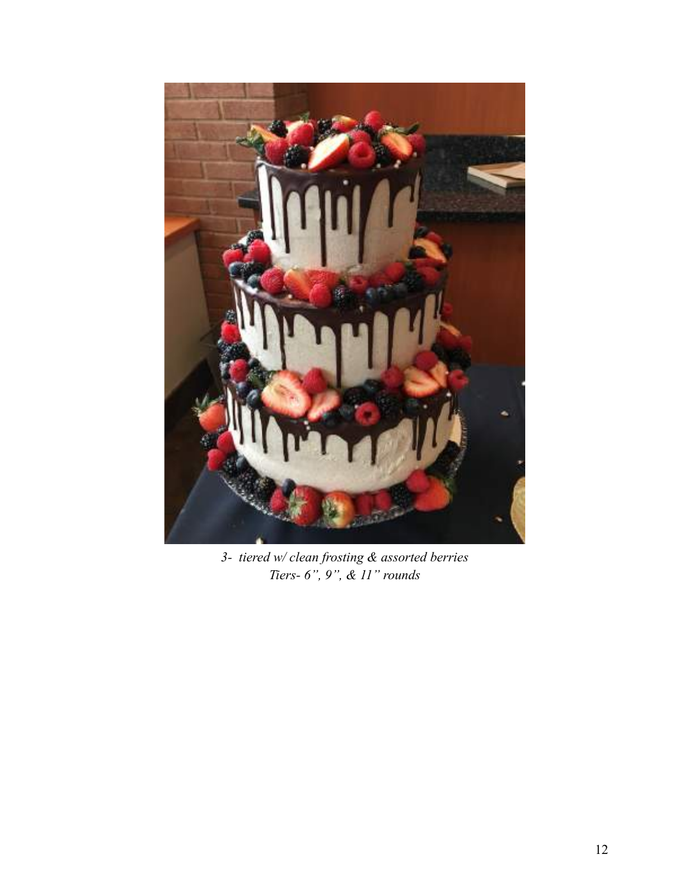

*3- tiered w/ clean frosting & assorted berries Tiers- 6", 9", & 11" rounds*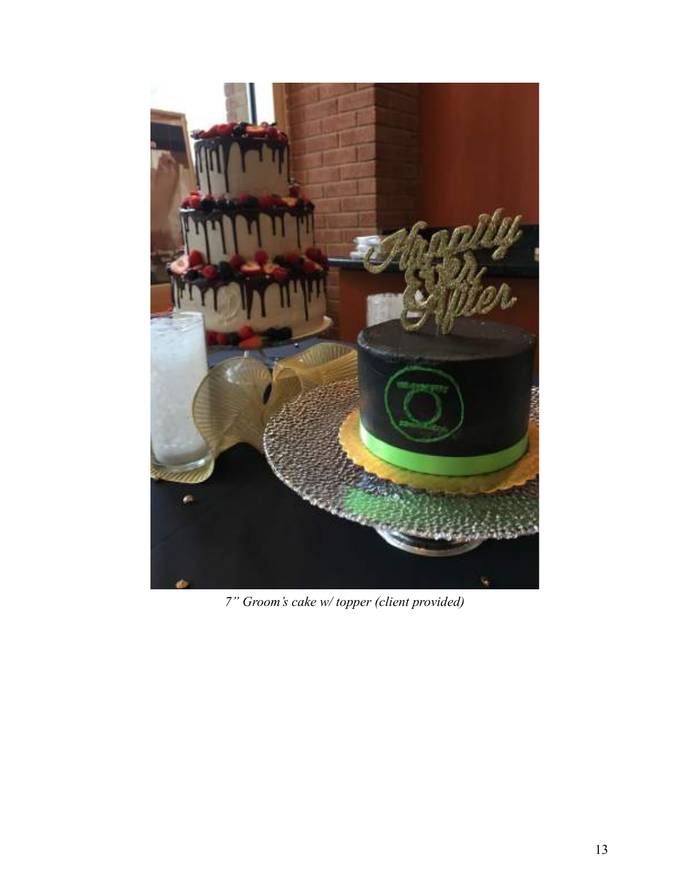

*7" Groom's cake w/ topper (client provided)*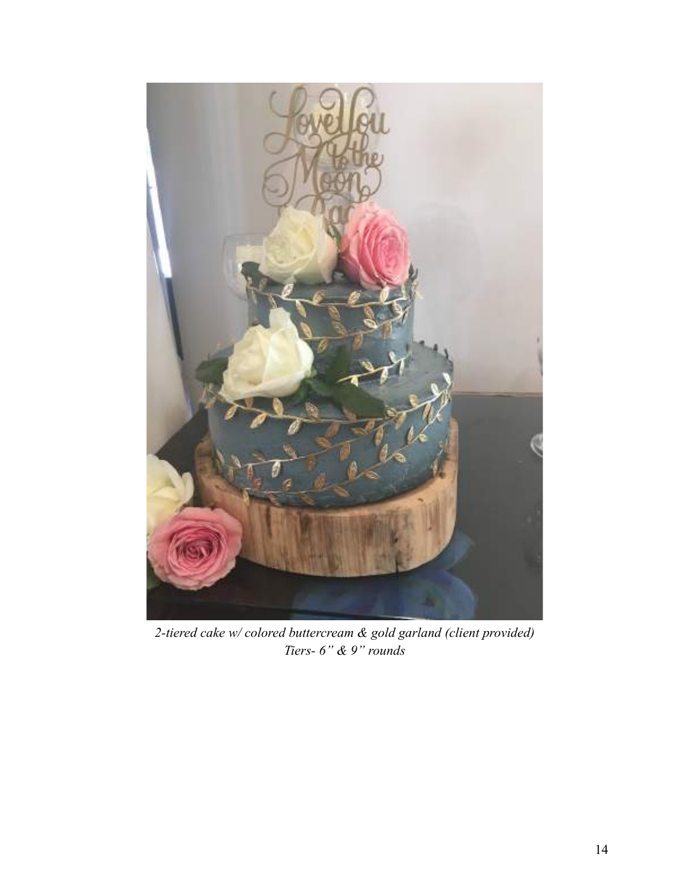

*2-tiered cake w/ colored buttercream & gold garland (client provided) Tiers- 6" & 9" rounds*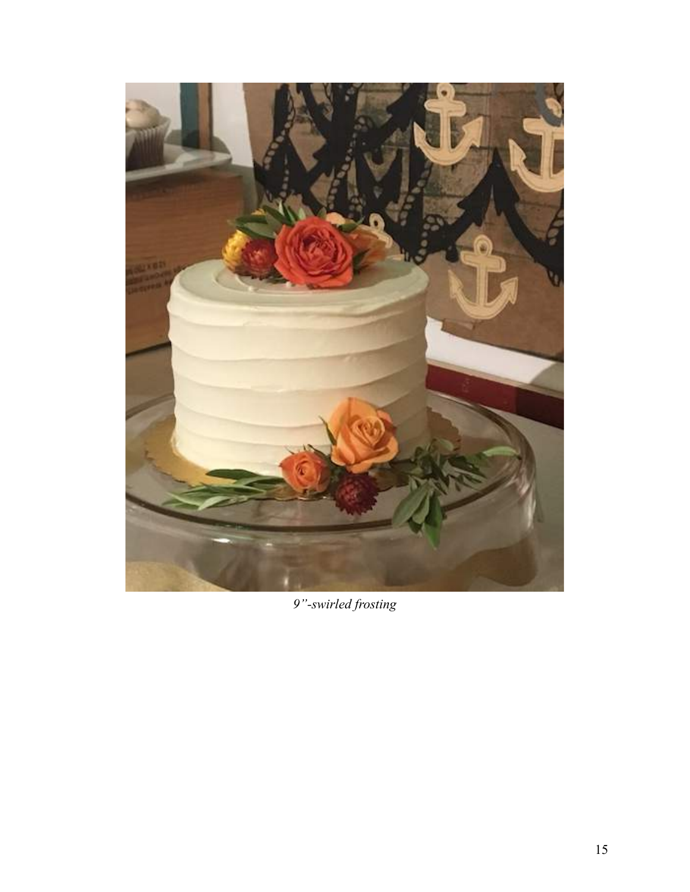

*9"-swirled frosting*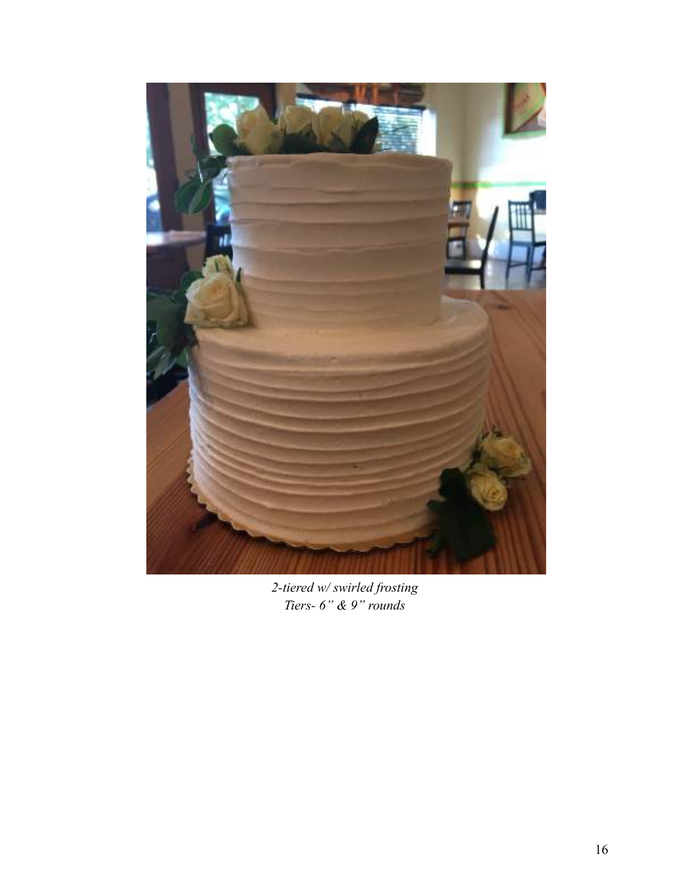

*2-tiered w/ swirled frosting Tiers- 6" & 9" rounds*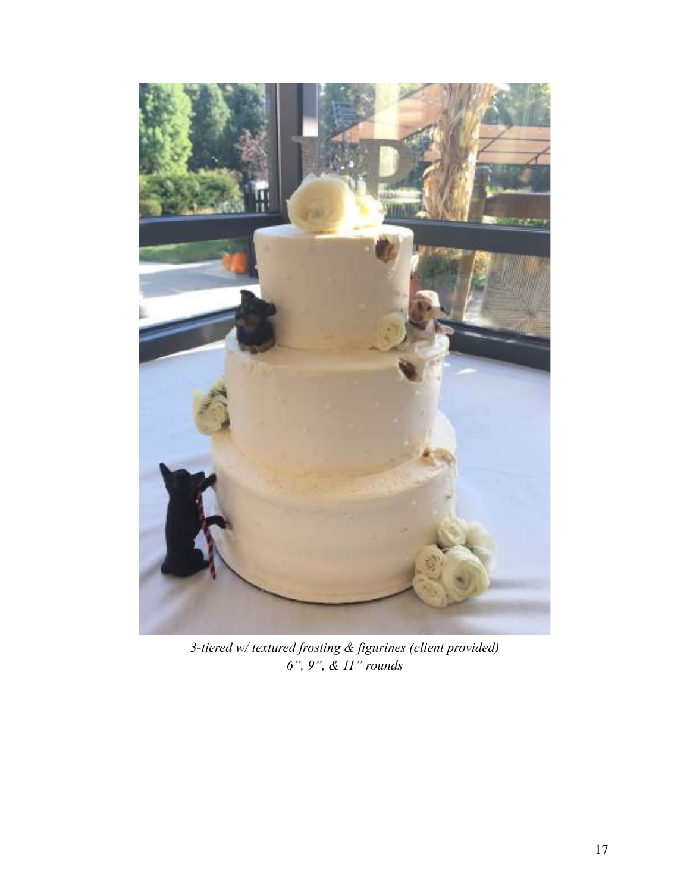

*3-tiered w/ textured frosting & figurines (client provided) 6", 9", & 11" rounds*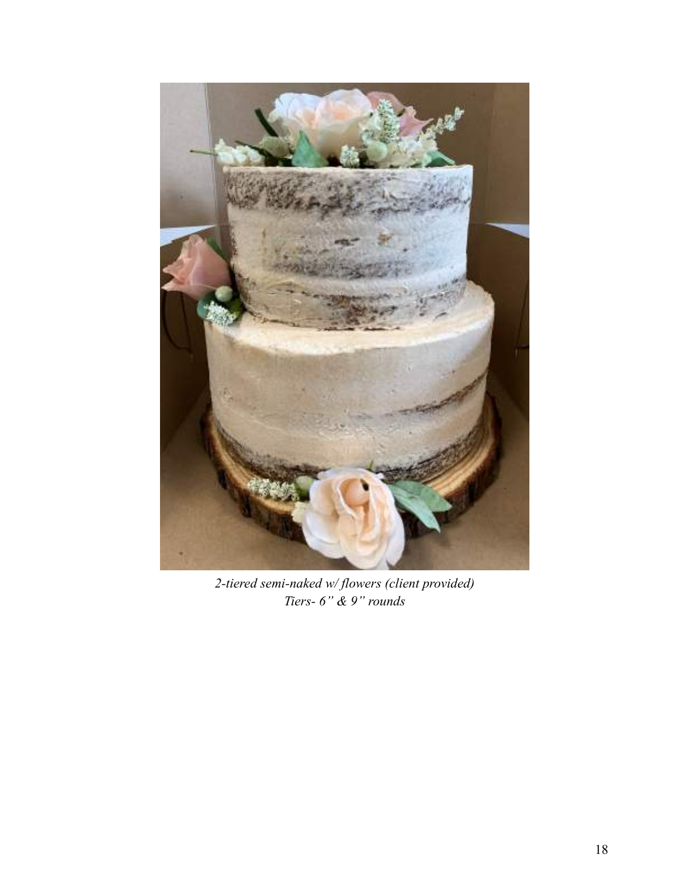

*2-tiered semi-naked w/ flowers (client provided) Tiers- 6" & 9" rounds*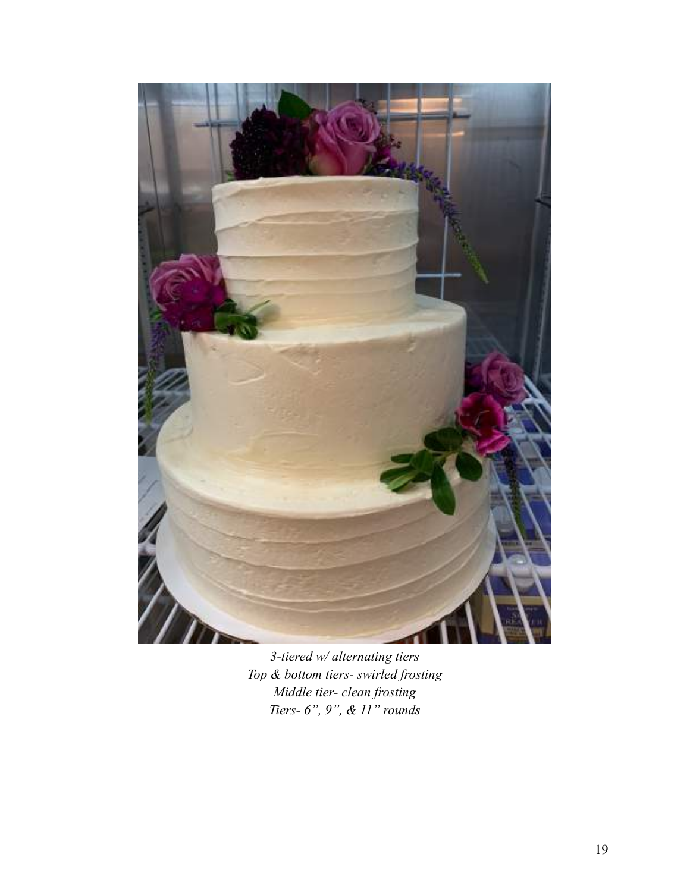

*3-tiered w/ alternating tiers Top & bottom tiers- swirled frosting Middle tier- clean frosting Tiers- 6", 9", & 11" rounds*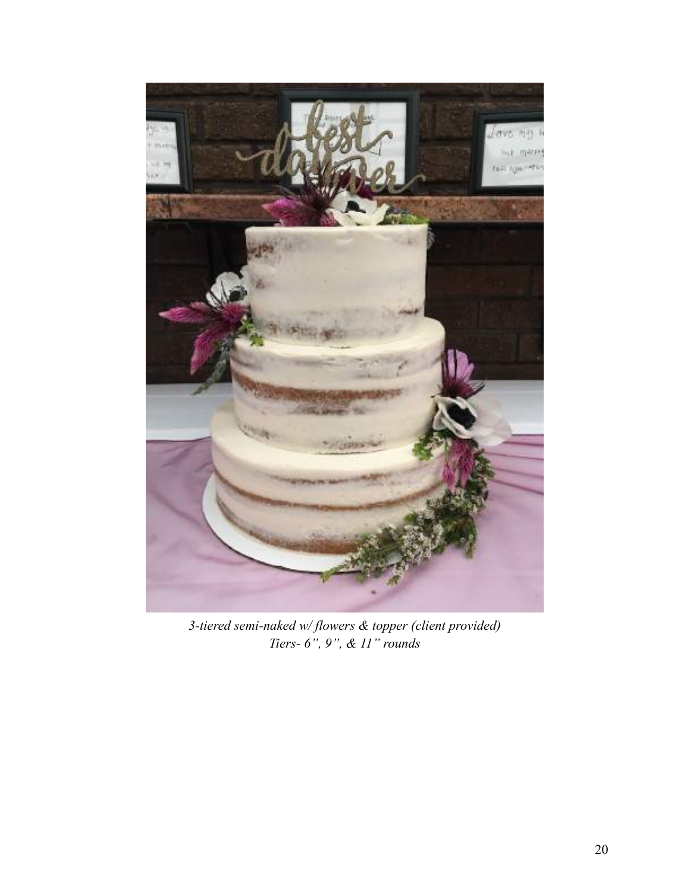

*3-tiered semi-naked w/ flowers & topper (client provided) Tiers- 6", 9", & 11" rounds*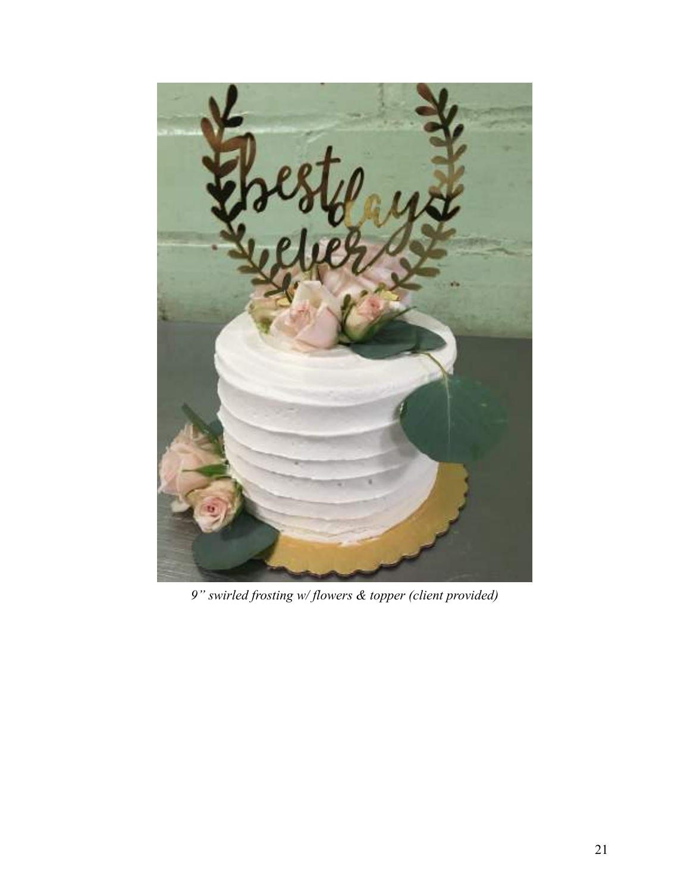

*9" swirled frosting w/ flowers & topper (client provided)*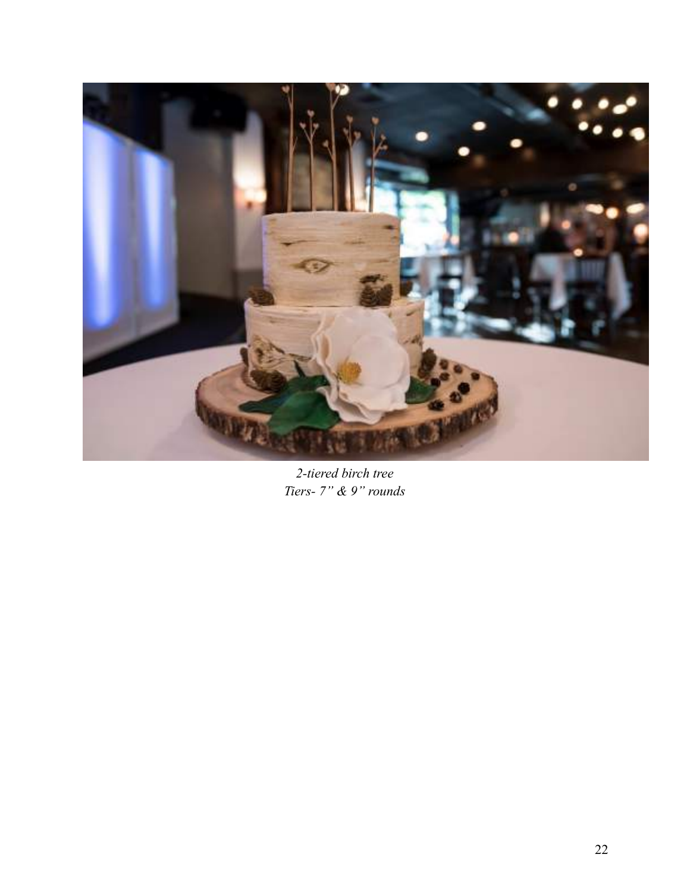

*2-tiered birch tree Tiers- 7" & 9" rounds*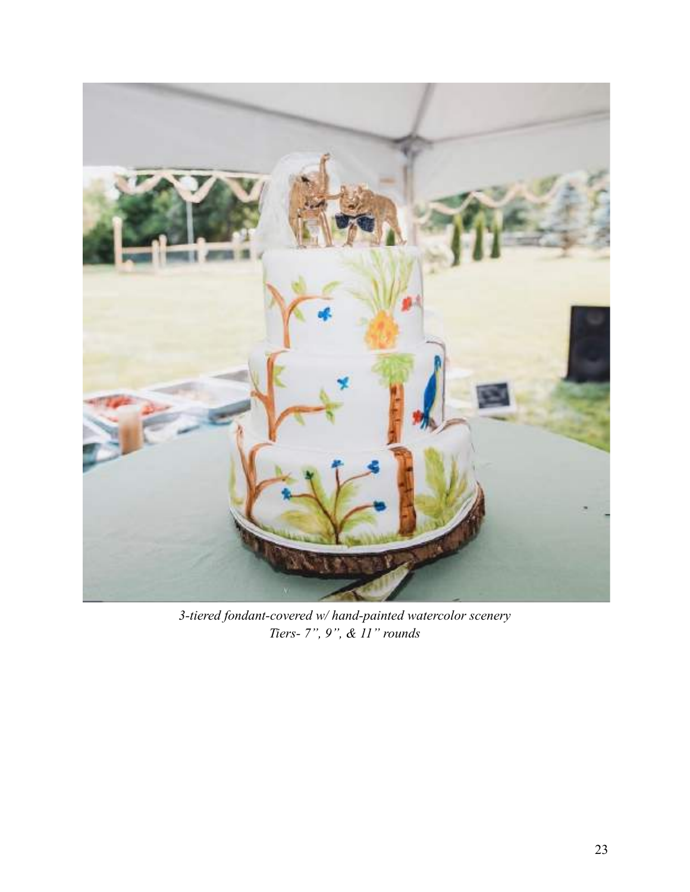

*3-tiered fondant-covered w/ hand-painted watercolor scenery Tiers- 7", 9", & 11" rounds*